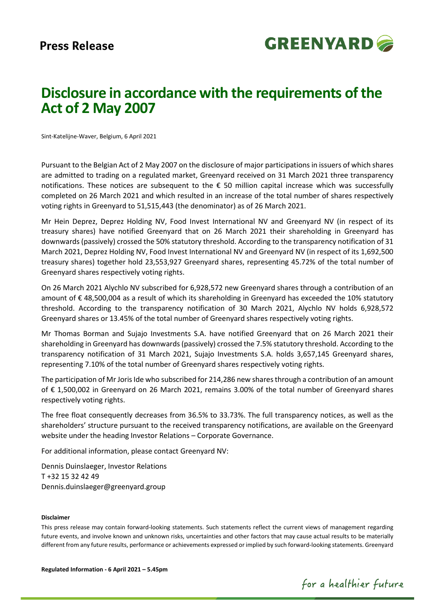

# **Disclosure in accordance with the requirements of the Act of 2 May 2007**

Sint-Katelijne-Waver, Belgium, 6 April 2021

Pursuant to the Belgian Act of 2 May 2007 on the disclosure of major participationsin issuers of which shares are admitted to trading on a regulated market, Greenyard received on 31 March 2021 three transparency notifications. These notices are subsequent to the € 50 million capital increase which was successfully completed on 26 March 2021 and which resulted in an increase of the total number of shares respectively voting rights in Greenyard to 51,515,443 (the denominator) as of 26 March 2021.

Mr Hein Deprez, Deprez Holding NV, Food Invest International NV and Greenyard NV (in respect of its treasury shares) have notified Greenyard that on 26 March 2021 their shareholding in Greenyard has downwards (passively) crossed the 50% statutory threshold. According to the transparency notification of 31 March 2021, Deprez Holding NV, Food Invest International NV and Greenyard NV (in respect of its 1,692,500 treasury shares) together hold 23,553,927 Greenyard shares, representing 45.72% of the total number of Greenyard shares respectively voting rights.

On 26 March 2021 Alychlo NV subscribed for 6,928,572 new Greenyard shares through a contribution of an amount of € 48,500,004 as a result of which its shareholding in Greenyard has exceeded the 10% statutory threshold. According to the transparency notification of 30 March 2021, Alychlo NV holds 6,928,572 Greenyard shares or 13.45% of the total number of Greenyard shares respectively voting rights.

Mr Thomas Borman and Sujajo Investments S.A. have notified Greenyard that on 26 March 2021 their shareholding in Greenyard has downwards(passively) crossed the 7.5% statutory threshold. According to the transparency notification of 31 March 2021, Sujajo Investments S.A. holds 3,657,145 Greenyard shares, representing 7.10% of the total number of Greenyard shares respectively voting rights.

The participation of Mr Joris Ide who subscribed for 214,286 new shares through a contribution of an amount of € 1,500,002 in Greenyard on 26 March 2021, remains 3.00% of the total number of Greenyard shares respectively voting rights.

The free float consequently decreases from 36.5% to 33.73%. The full transparency notices, as well as the shareholders' structure pursuant to the received transparency notifications, are available on the Greenyard website under the heading Investor Relations – Corporate Governance.

For additional information, please contact Greenyard NV:

Dennis Duinslaeger, Investor Relations T +32 15 32 42 49 Dennis.duinslaeger@greenyard.group

## **Disclaimer**

This press release may contain forward-looking statements. Such statements reflect the current views of management regarding future events, and involve known and unknown risks, uncertainties and other factors that may cause actual results to be materially different from any future results, performance or achievements expressed or implied by such forward-looking statements. Greenyard

**Regulated Information - 6 April 2021 – 5.45pm**

for a healthier future